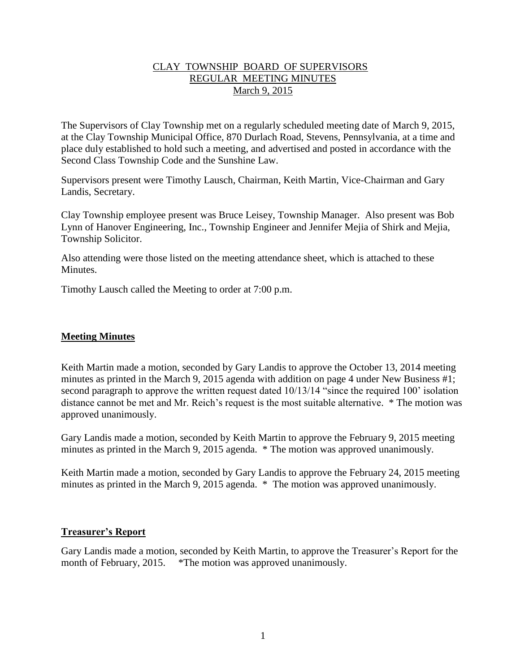## CLAY TOWNSHIP BOARD OF SUPERVISORS REGULAR MEETING MINUTES March 9, 2015

The Supervisors of Clay Township met on a regularly scheduled meeting date of March 9, 2015, at the Clay Township Municipal Office, 870 Durlach Road, Stevens, Pennsylvania, at a time and place duly established to hold such a meeting, and advertised and posted in accordance with the Second Class Township Code and the Sunshine Law.

Supervisors present were Timothy Lausch, Chairman, Keith Martin, Vice-Chairman and Gary Landis, Secretary.

Clay Township employee present was Bruce Leisey, Township Manager. Also present was Bob Lynn of Hanover Engineering, Inc., Township Engineer and Jennifer Mejia of Shirk and Mejia, Township Solicitor.

Also attending were those listed on the meeting attendance sheet, which is attached to these **Minutes** 

Timothy Lausch called the Meeting to order at 7:00 p.m.

# **Meeting Minutes**

Keith Martin made a motion, seconded by Gary Landis to approve the October 13, 2014 meeting minutes as printed in the March 9, 2015 agenda with addition on page 4 under New Business #1; second paragraph to approve the written request dated  $10/13/14$  "since the required 100' isolation distance cannot be met and Mr. Reich's request is the most suitable alternative. \* The motion was approved unanimously.

Gary Landis made a motion, seconded by Keith Martin to approve the February 9, 2015 meeting minutes as printed in the March 9, 2015 agenda. \* The motion was approved unanimously.

Keith Martin made a motion, seconded by Gary Landis to approve the February 24, 2015 meeting minutes as printed in the March 9, 2015 agenda. \* The motion was approved unanimously.

## **Treasurer's Report**

Gary Landis made a motion, seconded by Keith Martin, to approve the Treasurer's Report for the month of February, 2015. \*The motion was approved unanimously.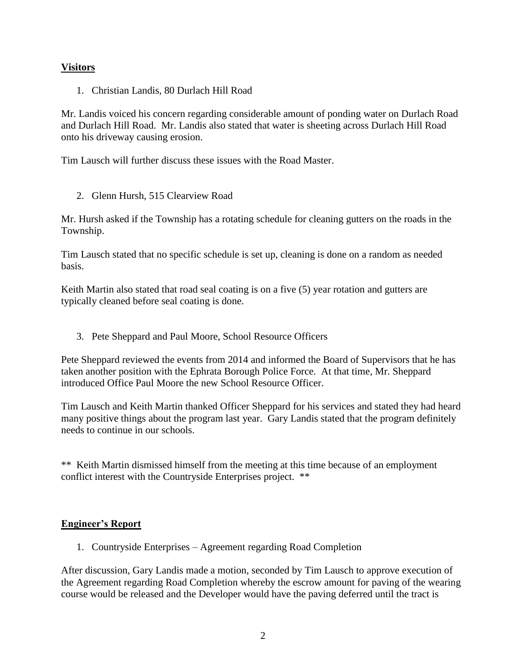# **Visitors**

1. Christian Landis, 80 Durlach Hill Road

Mr. Landis voiced his concern regarding considerable amount of ponding water on Durlach Road and Durlach Hill Road. Mr. Landis also stated that water is sheeting across Durlach Hill Road onto his driveway causing erosion.

Tim Lausch will further discuss these issues with the Road Master.

2. Glenn Hursh, 515 Clearview Road

Mr. Hursh asked if the Township has a rotating schedule for cleaning gutters on the roads in the Township.

Tim Lausch stated that no specific schedule is set up, cleaning is done on a random as needed basis.

Keith Martin also stated that road seal coating is on a five (5) year rotation and gutters are typically cleaned before seal coating is done.

3. Pete Sheppard and Paul Moore, School Resource Officers

Pete Sheppard reviewed the events from 2014 and informed the Board of Supervisors that he has taken another position with the Ephrata Borough Police Force. At that time, Mr. Sheppard introduced Office Paul Moore the new School Resource Officer.

Tim Lausch and Keith Martin thanked Officer Sheppard for his services and stated they had heard many positive things about the program last year. Gary Landis stated that the program definitely needs to continue in our schools.

\*\* Keith Martin dismissed himself from the meeting at this time because of an employment conflict interest with the Countryside Enterprises project. \*\*

# **Engineer's Report**

1. Countryside Enterprises – Agreement regarding Road Completion

After discussion, Gary Landis made a motion, seconded by Tim Lausch to approve execution of the Agreement regarding Road Completion whereby the escrow amount for paving of the wearing course would be released and the Developer would have the paving deferred until the tract is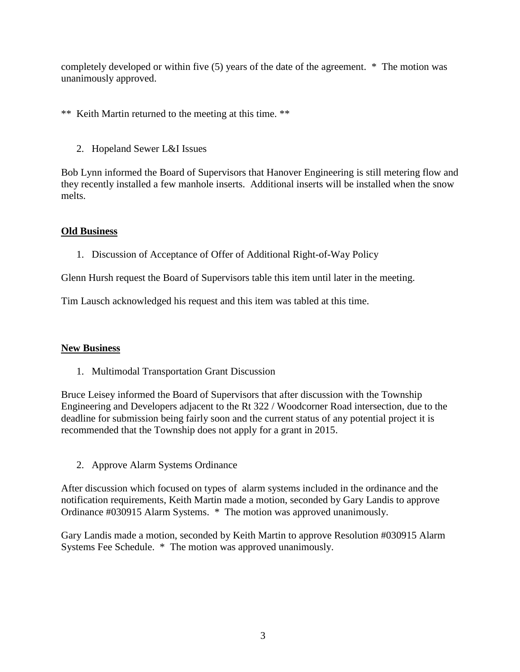completely developed or within five (5) years of the date of the agreement. \* The motion was unanimously approved.

\*\* Keith Martin returned to the meeting at this time. \*\*

2. Hopeland Sewer L&I Issues

Bob Lynn informed the Board of Supervisors that Hanover Engineering is still metering flow and they recently installed a few manhole inserts. Additional inserts will be installed when the snow melts.

# **Old Business**

1. Discussion of Acceptance of Offer of Additional Right-of-Way Policy

Glenn Hursh request the Board of Supervisors table this item until later in the meeting.

Tim Lausch acknowledged his request and this item was tabled at this time.

# **New Business**

1. Multimodal Transportation Grant Discussion

Bruce Leisey informed the Board of Supervisors that after discussion with the Township Engineering and Developers adjacent to the Rt 322 / Woodcorner Road intersection, due to the deadline for submission being fairly soon and the current status of any potential project it is recommended that the Township does not apply for a grant in 2015.

2. Approve Alarm Systems Ordinance

After discussion which focused on types of alarm systems included in the ordinance and the notification requirements, Keith Martin made a motion, seconded by Gary Landis to approve Ordinance #030915 Alarm Systems. \* The motion was approved unanimously.

Gary Landis made a motion, seconded by Keith Martin to approve Resolution #030915 Alarm Systems Fee Schedule. \* The motion was approved unanimously.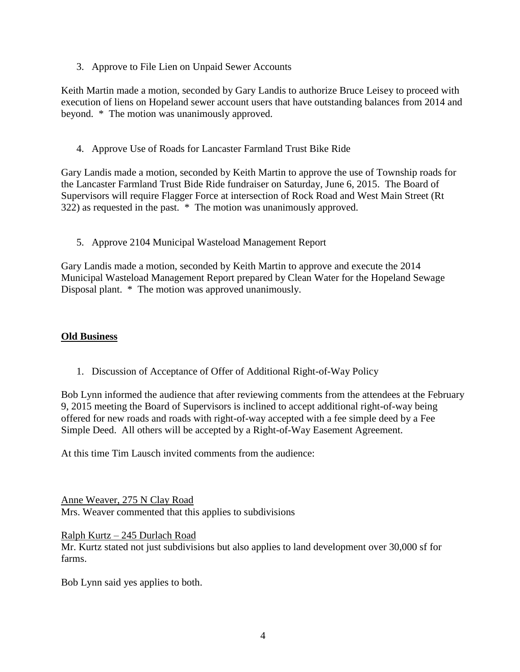3. Approve to File Lien on Unpaid Sewer Accounts

Keith Martin made a motion, seconded by Gary Landis to authorize Bruce Leisey to proceed with execution of liens on Hopeland sewer account users that have outstanding balances from 2014 and beyond. \* The motion was unanimously approved.

4. Approve Use of Roads for Lancaster Farmland Trust Bike Ride

Gary Landis made a motion, seconded by Keith Martin to approve the use of Township roads for the Lancaster Farmland Trust Bide Ride fundraiser on Saturday, June 6, 2015. The Board of Supervisors will require Flagger Force at intersection of Rock Road and West Main Street (Rt 322) as requested in the past. \* The motion was unanimously approved.

5. Approve 2104 Municipal Wasteload Management Report

Gary Landis made a motion, seconded by Keith Martin to approve and execute the 2014 Municipal Wasteload Management Report prepared by Clean Water for the Hopeland Sewage Disposal plant. \* The motion was approved unanimously.

## **Old Business**

1. Discussion of Acceptance of Offer of Additional Right-of-Way Policy

Bob Lynn informed the audience that after reviewing comments from the attendees at the February 9, 2015 meeting the Board of Supervisors is inclined to accept additional right-of-way being offered for new roads and roads with right-of-way accepted with a fee simple deed by a Fee Simple Deed. All others will be accepted by a Right-of-Way Easement Agreement.

At this time Tim Lausch invited comments from the audience:

Anne Weaver, 275 N Clay Road Mrs. Weaver commented that this applies to subdivisions

Ralph Kurtz – 245 Durlach Road Mr. Kurtz stated not just subdivisions but also applies to land development over 30,000 sf for farms.

Bob Lynn said yes applies to both.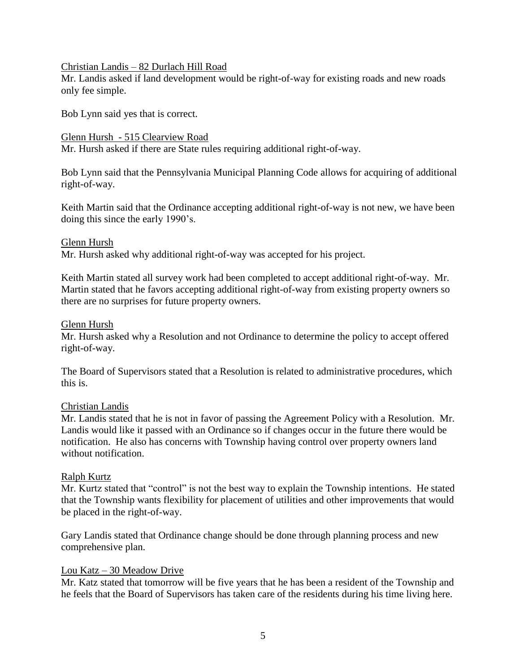#### Christian Landis – 82 Durlach Hill Road

Mr. Landis asked if land development would be right-of-way for existing roads and new roads only fee simple.

Bob Lynn said yes that is correct.

Glenn Hursh - 515 Clearview Road Mr. Hursh asked if there are State rules requiring additional right-of-way.

Bob Lynn said that the Pennsylvania Municipal Planning Code allows for acquiring of additional right-of-way.

Keith Martin said that the Ordinance accepting additional right-of-way is not new, we have been doing this since the early 1990's.

#### Glenn Hursh

Mr. Hursh asked why additional right-of-way was accepted for his project.

Keith Martin stated all survey work had been completed to accept additional right-of-way. Mr. Martin stated that he favors accepting additional right-of-way from existing property owners so there are no surprises for future property owners.

#### Glenn Hursh

Mr. Hursh asked why a Resolution and not Ordinance to determine the policy to accept offered right-of-way.

The Board of Supervisors stated that a Resolution is related to administrative procedures, which this is.

## Christian Landis

Mr. Landis stated that he is not in favor of passing the Agreement Policy with a Resolution. Mr. Landis would like it passed with an Ordinance so if changes occur in the future there would be notification. He also has concerns with Township having control over property owners land without notification.

## Ralph Kurtz

Mr. Kurtz stated that "control" is not the best way to explain the Township intentions. He stated that the Township wants flexibility for placement of utilities and other improvements that would be placed in the right-of-way.

Gary Landis stated that Ordinance change should be done through planning process and new comprehensive plan.

## Lou Katz – 30 Meadow Drive

Mr. Katz stated that tomorrow will be five years that he has been a resident of the Township and he feels that the Board of Supervisors has taken care of the residents during his time living here.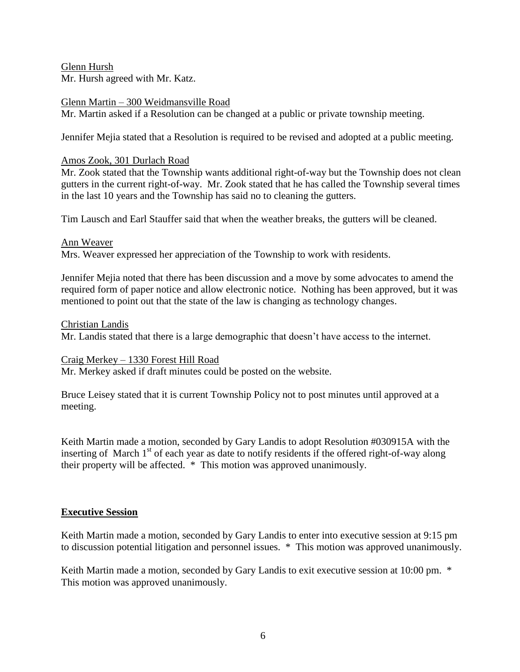Glenn Hursh Mr. Hursh agreed with Mr. Katz.

## Glenn Martin – 300 Weidmansville Road

Mr. Martin asked if a Resolution can be changed at a public or private township meeting.

Jennifer Mejia stated that a Resolution is required to be revised and adopted at a public meeting.

#### Amos Zook, 301 Durlach Road

Mr. Zook stated that the Township wants additional right-of-way but the Township does not clean gutters in the current right-of-way. Mr. Zook stated that he has called the Township several times in the last 10 years and the Township has said no to cleaning the gutters.

Tim Lausch and Earl Stauffer said that when the weather breaks, the gutters will be cleaned.

# Ann Weaver Mrs. Weaver expressed her appreciation of the Township to work with residents.

Jennifer Mejia noted that there has been discussion and a move by some advocates to amend the required form of paper notice and allow electronic notice. Nothing has been approved, but it was mentioned to point out that the state of the law is changing as technology changes.

## Christian Landis

Mr. Landis stated that there is a large demographic that doesn't have access to the internet.

## Craig Merkey – 1330 Forest Hill Road

Mr. Merkey asked if draft minutes could be posted on the website.

Bruce Leisey stated that it is current Township Policy not to post minutes until approved at a meeting.

Keith Martin made a motion, seconded by Gary Landis to adopt Resolution #030915A with the inserting of March  $1<sup>st</sup>$  of each year as date to notify residents if the offered right-of-way along their property will be affected. \* This motion was approved unanimously.

## **Executive Session**

Keith Martin made a motion, seconded by Gary Landis to enter into executive session at 9:15 pm to discussion potential litigation and personnel issues. \* This motion was approved unanimously.

Keith Martin made a motion, seconded by Gary Landis to exit executive session at 10:00 pm.  $*$ This motion was approved unanimously.